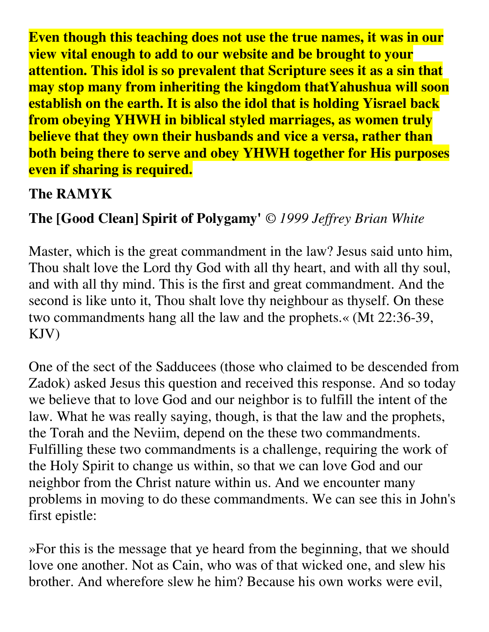**Even though this teaching does not use the true names, it was in our view vital enough to add to our website and be brought to your attention. This idol is so prevalent that Scripture sees it as a sin that may stop many from inheriting the kingdom thatYahushua will soon establish on the earth. It is also the idol that is holding Yisrael back from obeying YHWH in biblical styled marriages, as women truly believe that they own their husbands and vice a versa, rather than both being there to serve and obey YHWH together for His purposes even if sharing is required.** 

## **The RAMYK**

# **The [Good Clean] Spirit of Polygamy'** *© 1999 Jeffrey Brian White*

Master, which is the great commandment in the law? Jesus said unto him, Thou shalt love the Lord thy God with all thy heart, and with all thy soul, and with all thy mind. This is the first and great commandment. And the second is like unto it, Thou shalt love thy neighbour as thyself. On these two commandments hang all the law and the prophets.« (Mt 22:36-39, KJV)

One of the sect of the Sadducees (those who claimed to be descended from Zadok) asked Jesus this question and received this response. And so today we believe that to love God and our neighbor is to fulfill the intent of the law. What he was really saying, though, is that the law and the prophets, the Torah and the Neviim, depend on the these two commandments. Fulfilling these two commandments is a challenge, requiring the work of the Holy Spirit to change us within, so that we can love God and our neighbor from the Christ nature within us. And we encounter many problems in moving to do these commandments. We can see this in John's first epistle:

»For this is the message that ye heard from the beginning, that we should love one another. Not as Cain, who was of that wicked one, and slew his brother. And wherefore slew he him? Because his own works were evil,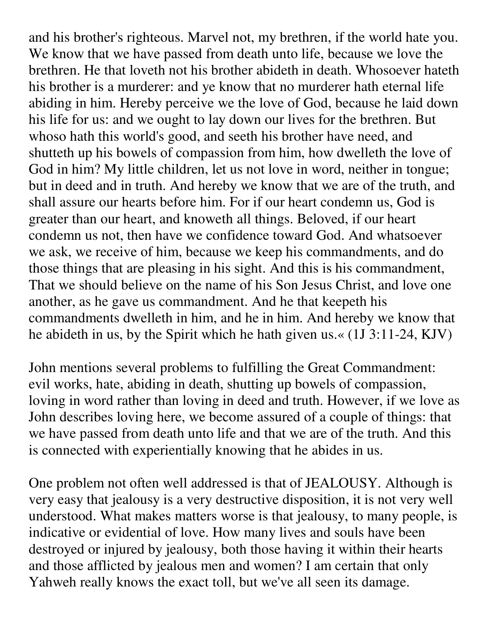and his brother's righteous. Marvel not, my brethren, if the world hate you. We know that we have passed from death unto life, because we love the brethren. He that loveth not his brother abideth in death. Whosoever hateth his brother is a murderer: and ye know that no murderer hath eternal life abiding in him. Hereby perceive we the love of God, because he laid down his life for us: and we ought to lay down our lives for the brethren. But whoso hath this world's good, and seeth his brother have need, and shutteth up his bowels of compassion from him, how dwelleth the love of God in him? My little children, let us not love in word, neither in tongue; but in deed and in truth. And hereby we know that we are of the truth, and shall assure our hearts before him. For if our heart condemn us, God is greater than our heart, and knoweth all things. Beloved, if our heart condemn us not, then have we confidence toward God. And whatsoever we ask, we receive of him, because we keep his commandments, and do those things that are pleasing in his sight. And this is his commandment, That we should believe on the name of his Son Jesus Christ, and love one another, as he gave us commandment. And he that keepeth his commandments dwelleth in him, and he in him. And hereby we know that he abideth in us, by the Spirit which he hath given us.« (1J 3:11-24, KJV)

John mentions several problems to fulfilling the Great Commandment: evil works, hate, abiding in death, shutting up bowels of compassion, loving in word rather than loving in deed and truth. However, if we love as John describes loving here, we become assured of a couple of things: that we have passed from death unto life and that we are of the truth. And this is connected with experientially knowing that he abides in us.

One problem not often well addressed is that of JEALOUSY. Although is very easy that jealousy is a very destructive disposition, it is not very well understood. What makes matters worse is that jealousy, to many people, is indicative or evidential of love. How many lives and souls have been destroyed or injured by jealousy, both those having it within their hearts and those afflicted by jealous men and women? I am certain that only Yahweh really knows the exact toll, but we've all seen its damage.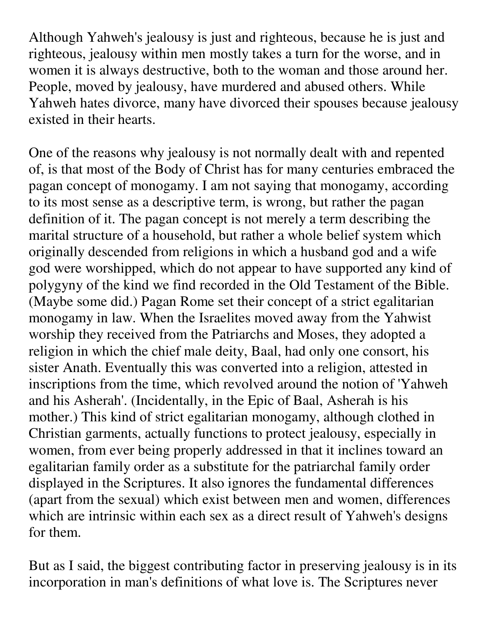Although Yahweh's jealousy is just and righteous, because he is just and righteous, jealousy within men mostly takes a turn for the worse, and in women it is always destructive, both to the woman and those around her. People, moved by jealousy, have murdered and abused others. While Yahweh hates divorce, many have divorced their spouses because jealousy existed in their hearts.

One of the reasons why jealousy is not normally dealt with and repented of, is that most of the Body of Christ has for many centuries embraced the pagan concept of monogamy. I am not saying that monogamy, according to its most sense as a descriptive term, is wrong, but rather the pagan definition of it. The pagan concept is not merely a term describing the marital structure of a household, but rather a whole belief system which originally descended from religions in which a husband god and a wife god were worshipped, which do not appear to have supported any kind of polygyny of the kind we find recorded in the Old Testament of the Bible. (Maybe some did.) Pagan Rome set their concept of a strict egalitarian monogamy in law. When the Israelites moved away from the Yahwist worship they received from the Patriarchs and Moses, they adopted a religion in which the chief male deity, Baal, had only one consort, his sister Anath. Eventually this was converted into a religion, attested in inscriptions from the time, which revolved around the notion of 'Yahweh and his Asherah'. (Incidentally, in the Epic of Baal, Asherah is his mother.) This kind of strict egalitarian monogamy, although clothed in Christian garments, actually functions to protect jealousy, especially in women, from ever being properly addressed in that it inclines toward an egalitarian family order as a substitute for the patriarchal family order displayed in the Scriptures. It also ignores the fundamental differences (apart from the sexual) which exist between men and women, differences which are intrinsic within each sex as a direct result of Yahweh's designs for them.

But as I said, the biggest contributing factor in preserving jealousy is in its incorporation in man's definitions of what love is. The Scriptures never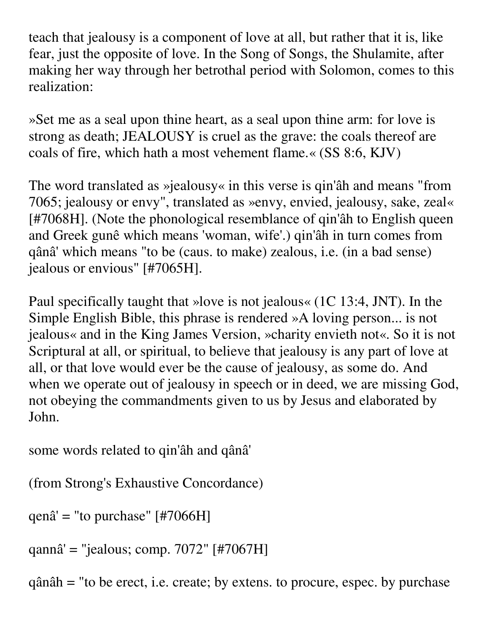teach that jealousy is a component of love at all, but rather that it is, like fear, just the opposite of love. In the Song of Songs, the Shulamite, after making her way through her betrothal period with Solomon, comes to this realization:

»Set me as a seal upon thine heart, as a seal upon thine arm: for love is strong as death; JEALOUSY is cruel as the grave: the coals thereof are coals of fire, which hath a most vehement flame.« (SS 8:6, KJV)

The word translated as »jealousy« in this verse is qin'âh and means "from 7065; jealousy or envy", translated as »envy, envied, jealousy, sake, zeal« [#7068H]. (Note the phonological resemblance of qin'âh to English queen and Greek gunê which means 'woman, wife'.) qin'âh in turn comes from qânâ' which means "to be (caus. to make) zealous, i.e. (in a bad sense) jealous or envious" [#7065H].

Paul specifically taught that »love is not jealous« (1C 13:4, JNT). In the Simple English Bible, this phrase is rendered »A loving person... is not jealous« and in the King James Version, »charity envieth not«. So it is not Scriptural at all, or spiritual, to believe that jealousy is any part of love at all, or that love would ever be the cause of jealousy, as some do. And when we operate out of jealousy in speech or in deed, we are missing God, not obeying the commandments given to us by Jesus and elaborated by John.

some words related to qin'âh and qânâ'

```
(from Strong's Exhaustive Concordance)
```

```
qenâ' = "to purchase" [#7066H]
```

```
qannâ' = "jealous; comp. 7072" [#7067H]
```
qânâh = "to be erect, i.e. create; by extens. to procure, espec. by purchase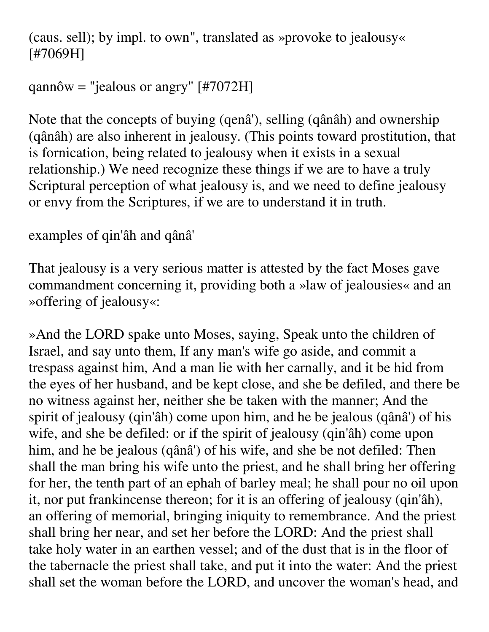(caus. sell); by impl. to own", translated as »provoke to jealousy« [#7069H]

## qannôw = "jealous or angry" [#7072H]

Note that the concepts of buying (qenâ'), selling (qânâh) and ownership (qânâh) are also inherent in jealousy. (This points toward prostitution, that is fornication, being related to jealousy when it exists in a sexual relationship.) We need recognize these things if we are to have a truly Scriptural perception of what jealousy is, and we need to define jealousy or envy from the Scriptures, if we are to understand it in truth.

# examples of qin'âh and qânâ'

That jealousy is a very serious matter is attested by the fact Moses gave commandment concerning it, providing both a »law of jealousies« and an »offering of jealousy«:

»And the LORD spake unto Moses, saying, Speak unto the children of Israel, and say unto them, If any man's wife go aside, and commit a trespass against him, And a man lie with her carnally, and it be hid from the eyes of her husband, and be kept close, and she be defiled, and there be no witness against her, neither she be taken with the manner; And the spirit of jealousy (qin'âh) come upon him, and he be jealous (qânâ') of his wife, and she be defiled: or if the spirit of jealousy (qin'âh) come upon him, and he be jealous (qânâ') of his wife, and she be not defiled: Then shall the man bring his wife unto the priest, and he shall bring her offering for her, the tenth part of an ephah of barley meal; he shall pour no oil upon it, nor put frankincense thereon; for it is an offering of jealousy (qin'âh), an offering of memorial, bringing iniquity to remembrance. And the priest shall bring her near, and set her before the LORD: And the priest shall take holy water in an earthen vessel; and of the dust that is in the floor of the tabernacle the priest shall take, and put it into the water: And the priest shall set the woman before the LORD, and uncover the woman's head, and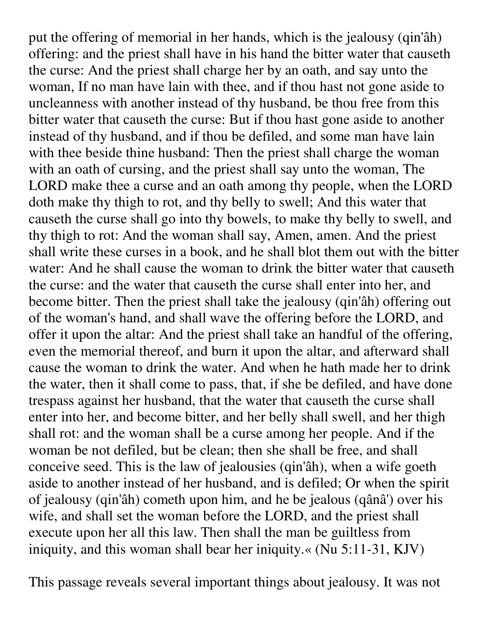put the offering of memorial in her hands, which is the jealousy (qin'âh) offering: and the priest shall have in his hand the bitter water that causeth the curse: And the priest shall charge her by an oath, and say unto the woman, If no man have lain with thee, and if thou hast not gone aside to uncleanness with another instead of thy husband, be thou free from this bitter water that causeth the curse: But if thou hast gone aside to another instead of thy husband, and if thou be defiled, and some man have lain with thee beside thine husband: Then the priest shall charge the woman with an oath of cursing, and the priest shall say unto the woman, The LORD make thee a curse and an oath among thy people, when the LORD doth make thy thigh to rot, and thy belly to swell; And this water that causeth the curse shall go into thy bowels, to make thy belly to swell, and thy thigh to rot: And the woman shall say, Amen, amen. And the priest shall write these curses in a book, and he shall blot them out with the bitter water: And he shall cause the woman to drink the bitter water that causeth the curse: and the water that causeth the curse shall enter into her, and become bitter. Then the priest shall take the jealousy (qin'âh) offering out of the woman's hand, and shall wave the offering before the LORD, and offer it upon the altar: And the priest shall take an handful of the offering, even the memorial thereof, and burn it upon the altar, and afterward shall cause the woman to drink the water. And when he hath made her to drink the water, then it shall come to pass, that, if she be defiled, and have done trespass against her husband, that the water that causeth the curse shall enter into her, and become bitter, and her belly shall swell, and her thigh shall rot: and the woman shall be a curse among her people. And if the woman be not defiled, but be clean; then she shall be free, and shall conceive seed. This is the law of jealousies (qin'âh), when a wife goeth aside to another instead of her husband, and is defiled; Or when the spirit of jealousy (qin'âh) cometh upon him, and he be jealous (qânâ') over his wife, and shall set the woman before the LORD, and the priest shall execute upon her all this law. Then shall the man be guiltless from iniquity, and this woman shall bear her iniquity.« (Nu 5:11-31, KJV)

This passage reveals several important things about jealousy. It was not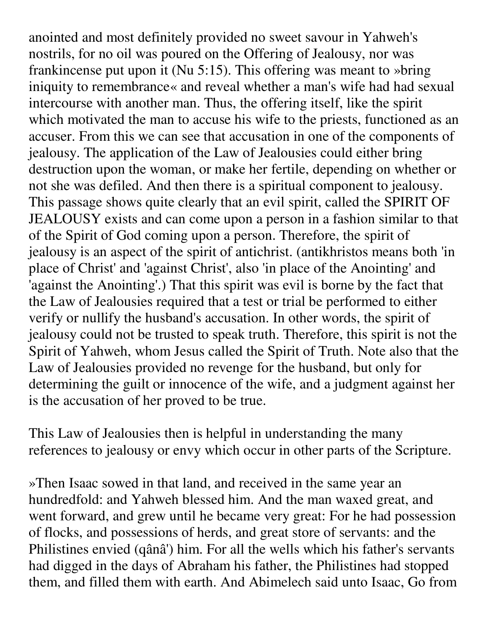anointed and most definitely provided no sweet savour in Yahweh's nostrils, for no oil was poured on the Offering of Jealousy, nor was frankincense put upon it (Nu 5:15). This offering was meant to »bring iniquity to remembrance« and reveal whether a man's wife had had sexual intercourse with another man. Thus, the offering itself, like the spirit which motivated the man to accuse his wife to the priests, functioned as an accuser. From this we can see that accusation in one of the components of jealousy. The application of the Law of Jealousies could either bring destruction upon the woman, or make her fertile, depending on whether or not she was defiled. And then there is a spiritual component to jealousy. This passage shows quite clearly that an evil spirit, called the SPIRIT OF JEALOUSY exists and can come upon a person in a fashion similar to that of the Spirit of God coming upon a person. Therefore, the spirit of jealousy is an aspect of the spirit of antichrist. (antikhristos means both 'in place of Christ' and 'against Christ', also 'in place of the Anointing' and 'against the Anointing'.) That this spirit was evil is borne by the fact that the Law of Jealousies required that a test or trial be performed to either verify or nullify the husband's accusation. In other words, the spirit of jealousy could not be trusted to speak truth. Therefore, this spirit is not the Spirit of Yahweh, whom Jesus called the Spirit of Truth. Note also that the Law of Jealousies provided no revenge for the husband, but only for determining the guilt or innocence of the wife, and a judgment against her is the accusation of her proved to be true.

This Law of Jealousies then is helpful in understanding the many references to jealousy or envy which occur in other parts of the Scripture.

»Then Isaac sowed in that land, and received in the same year an hundredfold: and Yahweh blessed him. And the man waxed great, and went forward, and grew until he became very great: For he had possession of flocks, and possessions of herds, and great store of servants: and the Philistines envied (qânâ') him. For all the wells which his father's servants had digged in the days of Abraham his father, the Philistines had stopped them, and filled them with earth. And Abimelech said unto Isaac, Go from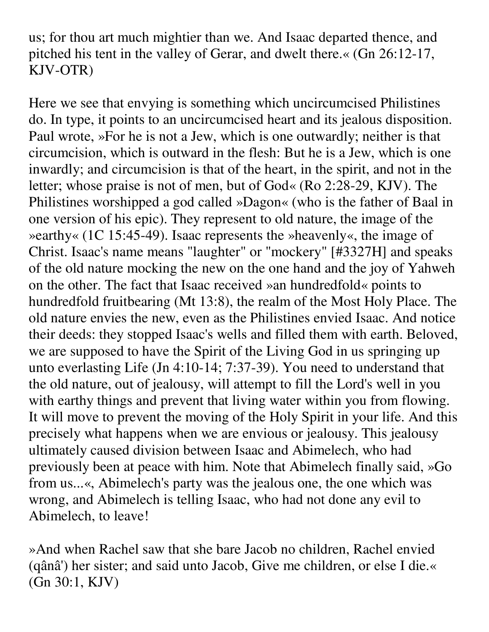us; for thou art much mightier than we. And Isaac departed thence, and pitched his tent in the valley of Gerar, and dwelt there.« (Gn 26:12-17, KJV-OTR)

Here we see that envying is something which uncircumcised Philistines do. In type, it points to an uncircumcised heart and its jealous disposition. Paul wrote, »For he is not a Jew, which is one outwardly; neither is that circumcision, which is outward in the flesh: But he is a Jew, which is one inwardly; and circumcision is that of the heart, in the spirit, and not in the letter; whose praise is not of men, but of God« (Ro 2:28-29, KJV). The Philistines worshipped a god called »Dagon« (who is the father of Baal in one version of his epic). They represent to old nature, the image of the »earthy« (1C 15:45-49). Isaac represents the »heavenly«, the image of Christ. Isaac's name means "laughter" or "mockery" [#3327H] and speaks of the old nature mocking the new on the one hand and the joy of Yahweh on the other. The fact that Isaac received »an hundredfold« points to hundredfold fruitbearing (Mt 13:8), the realm of the Most Holy Place. The old nature envies the new, even as the Philistines envied Isaac. And notice their deeds: they stopped Isaac's wells and filled them with earth. Beloved, we are supposed to have the Spirit of the Living God in us springing up unto everlasting Life (Jn 4:10-14; 7:37-39). You need to understand that the old nature, out of jealousy, will attempt to fill the Lord's well in you with earthy things and prevent that living water within you from flowing. It will move to prevent the moving of the Holy Spirit in your life. And this precisely what happens when we are envious or jealousy. This jealousy ultimately caused division between Isaac and Abimelech, who had previously been at peace with him. Note that Abimelech finally said, »Go from us...«, Abimelech's party was the jealous one, the one which was wrong, and Abimelech is telling Isaac, who had not done any evil to Abimelech, to leave!

»And when Rachel saw that she bare Jacob no children, Rachel envied (qânâ') her sister; and said unto Jacob, Give me children, or else I die.« (Gn 30:1, KJV)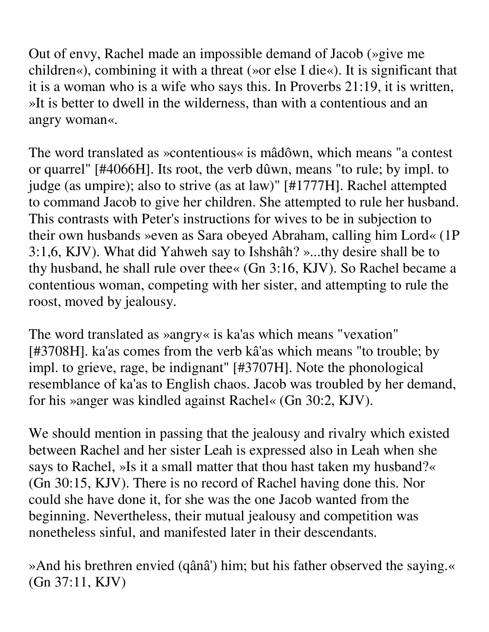Out of envy, Rachel made an impossible demand of Jacob (»give me children«), combining it with a threat (»or else I die«). It is significant that it is a woman who is a wife who says this. In Proverbs 21:19, it is written, »It is better to dwell in the wilderness, than with a contentious and an angry woman«.

The word translated as »contentious« is mâdôwn, which means "a contest or quarrel" [#4066H]. Its root, the verb dûwn, means "to rule; by impl. to judge (as umpire); also to strive (as at law)" [#1777H]. Rachel attempted to command Jacob to give her children. She attempted to rule her husband. This contrasts with Peter's instructions for wives to be in subjection to their own husbands »even as Sara obeyed Abraham, calling him Lord« (1P 3:1,6, KJV). What did Yahweh say to Ishshâh? »...thy desire shall be to thy husband, he shall rule over thee« (Gn 3:16, KJV). So Rachel became a contentious woman, competing with her sister, and attempting to rule the roost, moved by jealousy.

The word translated as »angry« is ka'as which means "vexation" [#3708H]. ka'as comes from the verb kâ'as which means "to trouble; by impl. to grieve, rage, be indignant" [#3707H]. Note the phonological resemblance of ka'as to English chaos. Jacob was troubled by her demand, for his »anger was kindled against Rachel« (Gn 30:2, KJV).

We should mention in passing that the jealousy and rivalry which existed between Rachel and her sister Leah is expressed also in Leah when she says to Rachel, »Is it a small matter that thou hast taken my husband?« (Gn 30:15, KJV). There is no record of Rachel having done this. Nor could she have done it, for she was the one Jacob wanted from the beginning. Nevertheless, their mutual jealousy and competition was nonetheless sinful, and manifested later in their descendants.

»And his brethren envied (qânâ') him; but his father observed the saying.« (Gn 37:11, KJV)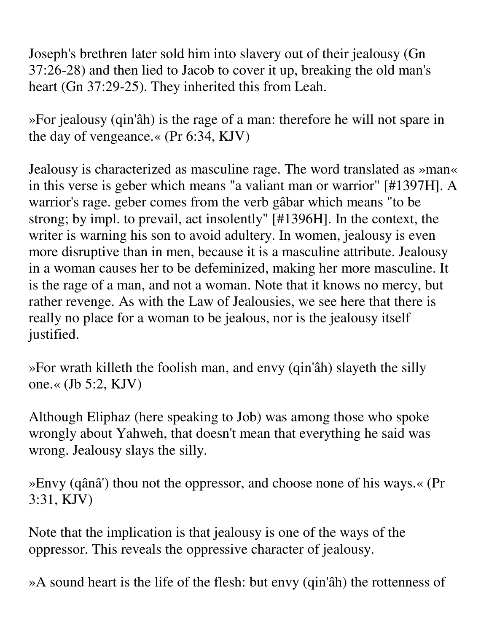Joseph's brethren later sold him into slavery out of their jealousy (Gn 37:26-28) and then lied to Jacob to cover it up, breaking the old man's heart (Gn 37:29-25). They inherited this from Leah.

»For jealousy (qin'âh) is the rage of a man: therefore he will not spare in the day of vengeance.« (Pr 6:34, KJV)

Jealousy is characterized as masculine rage. The word translated as »man« in this verse is geber which means "a valiant man or warrior" [#1397H]. A warrior's rage. geber comes from the verb gâbar which means "to be strong; by impl. to prevail, act insolently" [#1396H]. In the context, the writer is warning his son to avoid adultery. In women, jealousy is even more disruptive than in men, because it is a masculine attribute. Jealousy in a woman causes her to be defeminized, making her more masculine. It is the rage of a man, and not a woman. Note that it knows no mercy, but rather revenge. As with the Law of Jealousies, we see here that there is really no place for a woman to be jealous, nor is the jealousy itself justified.

»For wrath killeth the foolish man, and envy (qin'âh) slayeth the silly one.« (Jb 5:2, KJV)

Although Eliphaz (here speaking to Job) was among those who spoke wrongly about Yahweh, that doesn't mean that everything he said was wrong. Jealousy slays the silly.

»Envy (qânâ') thou not the oppressor, and choose none of his ways.« (Pr 3:31, KJV)

Note that the implication is that jealousy is one of the ways of the oppressor. This reveals the oppressive character of jealousy.

»A sound heart is the life of the flesh: but envy (qin'âh) the rottenness of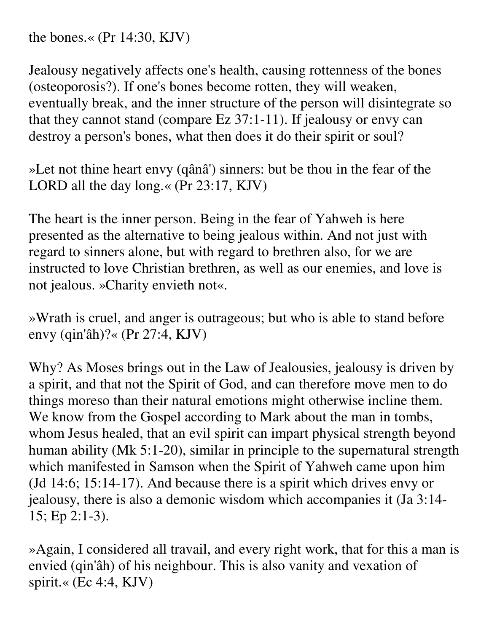the bones.« (Pr 14:30, KJV)

Jealousy negatively affects one's health, causing rottenness of the bones (osteoporosis?). If one's bones become rotten, they will weaken, eventually break, and the inner structure of the person will disintegrate so that they cannot stand (compare Ez 37:1-11). If jealousy or envy can destroy a person's bones, what then does it do their spirit or soul?

»Let not thine heart envy (qânâ') sinners: but be thou in the fear of the LORD all the day long.« (Pr 23:17, KJV)

The heart is the inner person. Being in the fear of Yahweh is here presented as the alternative to being jealous within. And not just with regard to sinners alone, but with regard to brethren also, for we are instructed to love Christian brethren, as well as our enemies, and love is not jealous. »Charity envieth not«.

»Wrath is cruel, and anger is outrageous; but who is able to stand before envy (qin'âh)?« (Pr 27:4, KJV)

Why? As Moses brings out in the Law of Jealousies, jealousy is driven by a spirit, and that not the Spirit of God, and can therefore move men to do things moreso than their natural emotions might otherwise incline them. We know from the Gospel according to Mark about the man in tombs, whom Jesus healed, that an evil spirit can impart physical strength beyond human ability (Mk 5:1-20), similar in principle to the supernatural strength which manifested in Samson when the Spirit of Yahweh came upon him (Jd 14:6; 15:14-17). And because there is a spirit which drives envy or jealousy, there is also a demonic wisdom which accompanies it (Ja 3:14- 15; Ep 2:1-3).

»Again, I considered all travail, and every right work, that for this a man is envied (qin'âh) of his neighbour. This is also vanity and vexation of spirit.« (Ec 4:4, KJV)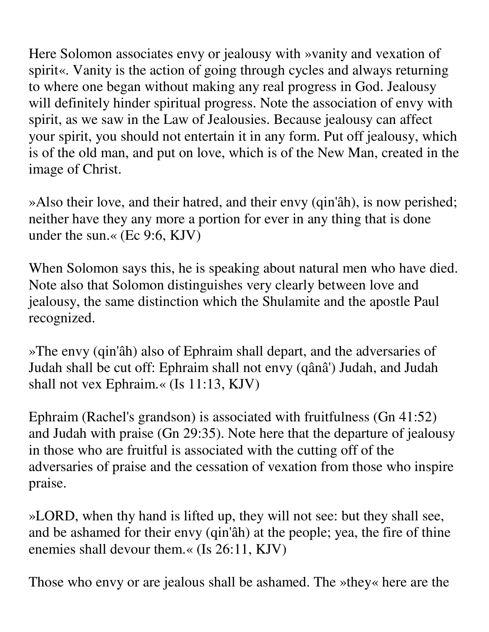Here Solomon associates envy or jealousy with »vanity and vexation of spirit«. Vanity is the action of going through cycles and always returning to where one began without making any real progress in God. Jealousy will definitely hinder spiritual progress. Note the association of envy with spirit, as we saw in the Law of Jealousies. Because jealousy can affect your spirit, you should not entertain it in any form. Put off jealousy, which is of the old man, and put on love, which is of the New Man, created in the image of Christ.

»Also their love, and their hatred, and their envy (qin'âh), is now perished; neither have they any more a portion for ever in any thing that is done under the sun.« (Ec 9:6, KJV)

When Solomon says this, he is speaking about natural men who have died. Note also that Solomon distinguishes very clearly between love and jealousy, the same distinction which the Shulamite and the apostle Paul recognized.

»The envy (qin'âh) also of Ephraim shall depart, and the adversaries of Judah shall be cut off: Ephraim shall not envy (qânâ') Judah, and Judah shall not vex Ephraim.« (Is 11:13, KJV)

Ephraim (Rachel's grandson) is associated with fruitfulness (Gn 41:52) and Judah with praise (Gn 29:35). Note here that the departure of jealousy in those who are fruitful is associated with the cutting off of the adversaries of praise and the cessation of vexation from those who inspire praise.

»LORD, when thy hand is lifted up, they will not see: but they shall see, and be ashamed for their envy (qin'âh) at the people; yea, the fire of thine enemies shall devour them.« (Is 26:11, KJV)

Those who envy or are jealous shall be ashamed. The »they« here are the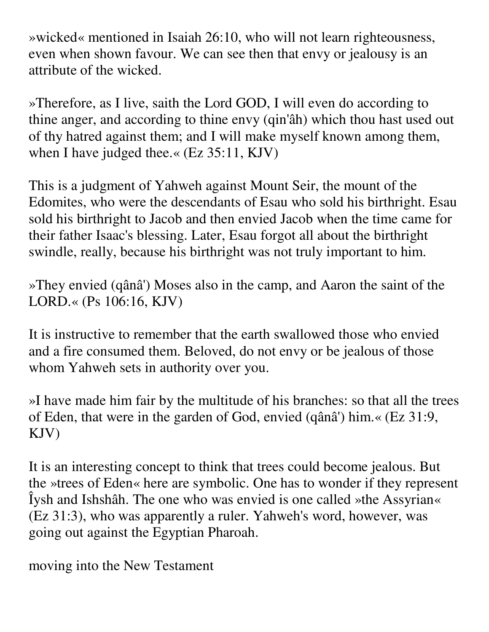»wicked« mentioned in Isaiah 26:10, who will not learn righteousness, even when shown favour. We can see then that envy or jealousy is an attribute of the wicked.

»Therefore, as I live, saith the Lord GOD, I will even do according to thine anger, and according to thine envy (qin'âh) which thou hast used out of thy hatred against them; and I will make myself known among them, when I have judged thee.« (Ez 35:11, KJV)

This is a judgment of Yahweh against Mount Seir, the mount of the Edomites, who were the descendants of Esau who sold his birthright. Esau sold his birthright to Jacob and then envied Jacob when the time came for their father Isaac's blessing. Later, Esau forgot all about the birthright swindle, really, because his birthright was not truly important to him.

»They envied (qânâ') Moses also in the camp, and Aaron the saint of the LORD.« (Ps 106:16, KJV)

It is instructive to remember that the earth swallowed those who envied and a fire consumed them. Beloved, do not envy or be jealous of those whom Yahweh sets in authority over you.

»I have made him fair by the multitude of his branches: so that all the trees of Eden, that were in the garden of God, envied (qânâ') him.« (Ez 31:9, KJV)

It is an interesting concept to think that trees could become jealous. But the »trees of Eden« here are symbolic. One has to wonder if they represent Îysh and Ishshâh. The one who was envied is one called »the Assyrian« (Ez 31:3), who was apparently a ruler. Yahweh's word, however, was going out against the Egyptian Pharoah.

moving into the New Testament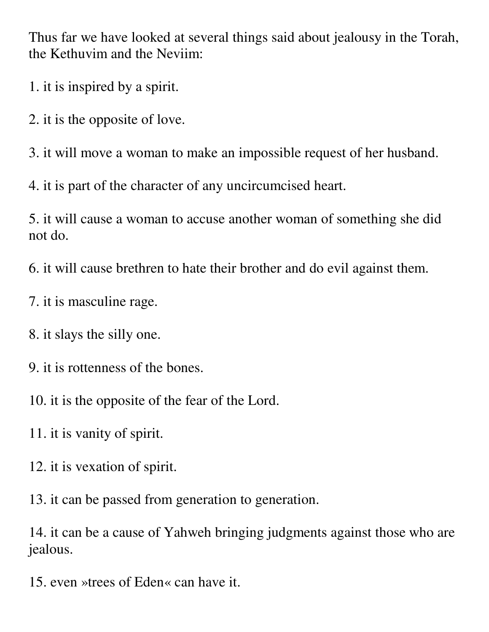Thus far we have looked at several things said about jealousy in the Torah, the Kethuvim and the Neviim:

1. it is inspired by a spirit.

2. it is the opposite of love.

3. it will move a woman to make an impossible request of her husband.

4. it is part of the character of any uncircumcised heart.

5. it will cause a woman to accuse another woman of something she did not do.

6. it will cause brethren to hate their brother and do evil against them.

- 7. it is masculine rage.
- 8. it slays the silly one.
- 9. it is rottenness of the bones.
- 10. it is the opposite of the fear of the Lord.
- 11. it is vanity of spirit.
- 12. it is vexation of spirit.

13. it can be passed from generation to generation.

14. it can be a cause of Yahweh bringing judgments against those who are jealous.

15. even »trees of Eden« can have it.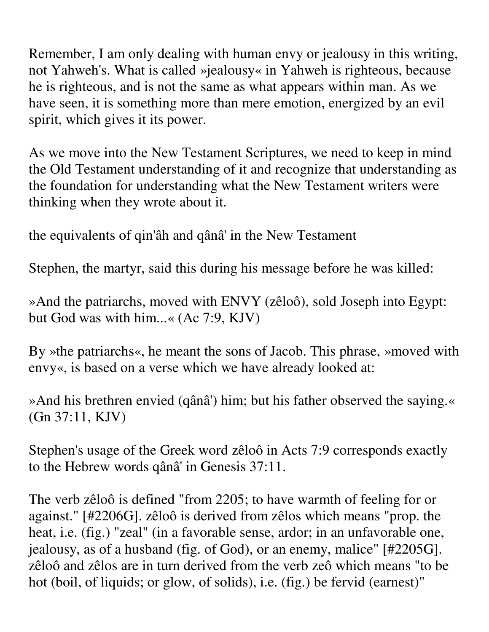Remember, I am only dealing with human envy or jealousy in this writing, not Yahweh's. What is called »jealousy« in Yahweh is righteous, because he is righteous, and is not the same as what appears within man. As we have seen, it is something more than mere emotion, energized by an evil spirit, which gives it its power.

As we move into the New Testament Scriptures, we need to keep in mind the Old Testament understanding of it and recognize that understanding as the foundation for understanding what the New Testament writers were thinking when they wrote about it.

the equivalents of qin'âh and qânâ' in the New Testament

Stephen, the martyr, said this during his message before he was killed:

»And the patriarchs, moved with ENVY (zêloô), sold Joseph into Egypt: but God was with him...« (Ac 7:9, KJV)

By »the patriarchs«, he meant the sons of Jacob. This phrase, »moved with envy«, is based on a verse which we have already looked at:

»And his brethren envied (qânâ') him; but his father observed the saying.« (Gn 37:11, KJV)

Stephen's usage of the Greek word zêloô in Acts 7:9 corresponds exactly to the Hebrew words qânâ' in Genesis 37:11.

The verb zêloô is defined "from 2205; to have warmth of feeling for or against." [#2206G]. zêloô is derived from zêlos which means "prop. the heat, i.e. (fig.) "zeal" (in a favorable sense, ardor; in an unfavorable one, jealousy, as of a husband (fig. of God), or an enemy, malice" [#2205G]. zêloô and zêlos are in turn derived from the verb zeô which means "to be hot (boil, of liquids; or glow, of solids), i.e. (fig.) be fervid (earnest)"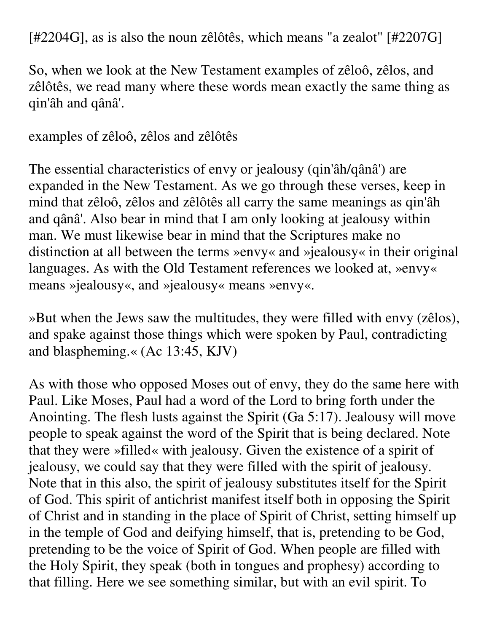[#2204G], as is also the noun zêlôtês, which means "a zealot" [#2207G]

So, when we look at the New Testament examples of zêloô, zêlos, and zêlôtês, we read many where these words mean exactly the same thing as qin'âh and qânâ'.

examples of zêloô, zêlos and zêlôtês

The essential characteristics of envy or jealousy (qin'âh/qânâ') are expanded in the New Testament. As we go through these verses, keep in mind that zêloô, zêlos and zêlôtês all carry the same meanings as qin'âh and qânâ'. Also bear in mind that I am only looking at jealousy within man. We must likewise bear in mind that the Scriptures make no distinction at all between the terms »envy« and »jealousy« in their original languages. As with the Old Testament references we looked at, »envy« means »jealousy«, and »jealousy« means »envy«.

»But when the Jews saw the multitudes, they were filled with envy (zêlos), and spake against those things which were spoken by Paul, contradicting and blaspheming.« (Ac 13:45, KJV)

As with those who opposed Moses out of envy, they do the same here with Paul. Like Moses, Paul had a word of the Lord to bring forth under the Anointing. The flesh lusts against the Spirit (Ga 5:17). Jealousy will move people to speak against the word of the Spirit that is being declared. Note that they were »filled« with jealousy. Given the existence of a spirit of jealousy, we could say that they were filled with the spirit of jealousy. Note that in this also, the spirit of jealousy substitutes itself for the Spirit of God. This spirit of antichrist manifest itself both in opposing the Spirit of Christ and in standing in the place of Spirit of Christ, setting himself up in the temple of God and deifying himself, that is, pretending to be God, pretending to be the voice of Spirit of God. When people are filled with the Holy Spirit, they speak (both in tongues and prophesy) according to that filling. Here we see something similar, but with an evil spirit. To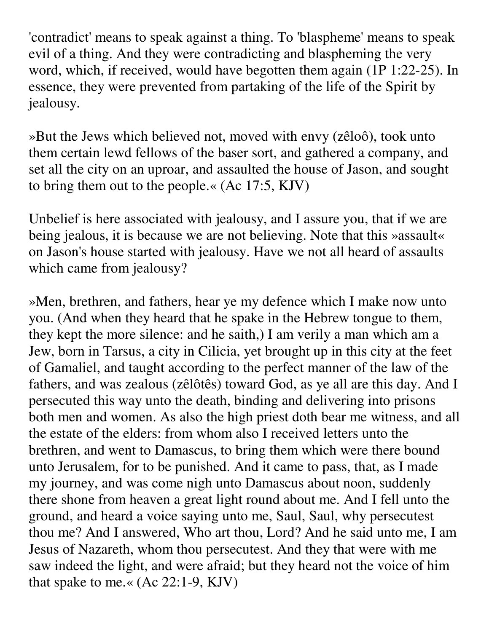'contradict' means to speak against a thing. To 'blaspheme' means to speak evil of a thing. And they were contradicting and blaspheming the very word, which, if received, would have begotten them again (1P 1:22-25). In essence, they were prevented from partaking of the life of the Spirit by jealousy.

»But the Jews which believed not, moved with envy (zêloô), took unto them certain lewd fellows of the baser sort, and gathered a company, and set all the city on an uproar, and assaulted the house of Jason, and sought to bring them out to the people.« (Ac 17:5, KJV)

Unbelief is here associated with jealousy, and I assure you, that if we are being jealous, it is because we are not believing. Note that this »assault« on Jason's house started with jealousy. Have we not all heard of assaults which came from jealousy?

»Men, brethren, and fathers, hear ye my defence which I make now unto you. (And when they heard that he spake in the Hebrew tongue to them, they kept the more silence: and he saith,) I am verily a man which am a Jew, born in Tarsus, a city in Cilicia, yet brought up in this city at the feet of Gamaliel, and taught according to the perfect manner of the law of the fathers, and was zealous (zêlôtês) toward God, as ye all are this day. And I persecuted this way unto the death, binding and delivering into prisons both men and women. As also the high priest doth bear me witness, and all the estate of the elders: from whom also I received letters unto the brethren, and went to Damascus, to bring them which were there bound unto Jerusalem, for to be punished. And it came to pass, that, as I made my journey, and was come nigh unto Damascus about noon, suddenly there shone from heaven a great light round about me. And I fell unto the ground, and heard a voice saying unto me, Saul, Saul, why persecutest thou me? And I answered, Who art thou, Lord? And he said unto me, I am Jesus of Nazareth, whom thou persecutest. And they that were with me saw indeed the light, and were afraid; but they heard not the voice of him that spake to me.« (Ac 22:1-9, KJV)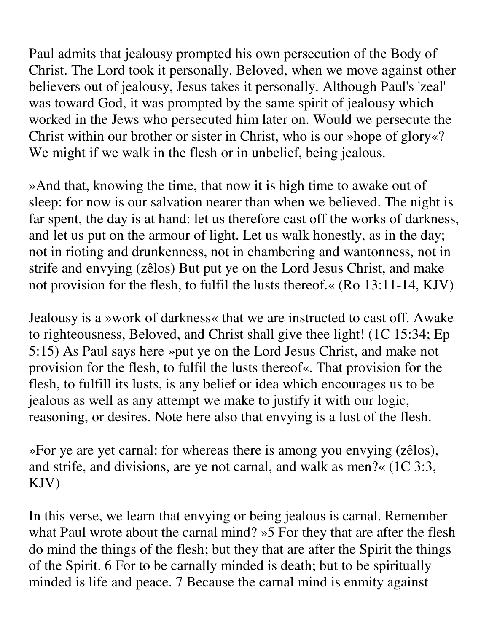Paul admits that jealousy prompted his own persecution of the Body of Christ. The Lord took it personally. Beloved, when we move against other believers out of jealousy, Jesus takes it personally. Although Paul's 'zeal' was toward God, it was prompted by the same spirit of jealousy which worked in the Jews who persecuted him later on. Would we persecute the Christ within our brother or sister in Christ, who is our »hope of glory«? We might if we walk in the flesh or in unbelief, being jealous.

»And that, knowing the time, that now it is high time to awake out of sleep: for now is our salvation nearer than when we believed. The night is far spent, the day is at hand: let us therefore cast off the works of darkness, and let us put on the armour of light. Let us walk honestly, as in the day; not in rioting and drunkenness, not in chambering and wantonness, not in strife and envying (zêlos) But put ye on the Lord Jesus Christ, and make not provision for the flesh, to fulfil the lusts thereof.« (Ro 13:11-14, KJV)

Jealousy is a »work of darkness« that we are instructed to cast off. Awake to righteousness, Beloved, and Christ shall give thee light! (1C 15:34; Ep 5:15) As Paul says here »put ye on the Lord Jesus Christ, and make not provision for the flesh, to fulfil the lusts thereof«. That provision for the flesh, to fulfill its lusts, is any belief or idea which encourages us to be jealous as well as any attempt we make to justify it with our logic, reasoning, or desires. Note here also that envying is a lust of the flesh.

»For ye are yet carnal: for whereas there is among you envying (zêlos), and strife, and divisions, are ye not carnal, and walk as men?« (1C 3:3, KJV)

In this verse, we learn that envying or being jealous is carnal. Remember what Paul wrote about the carnal mind? »5 For they that are after the flesh do mind the things of the flesh; but they that are after the Spirit the things of the Spirit. 6 For to be carnally minded is death; but to be spiritually minded is life and peace. 7 Because the carnal mind is enmity against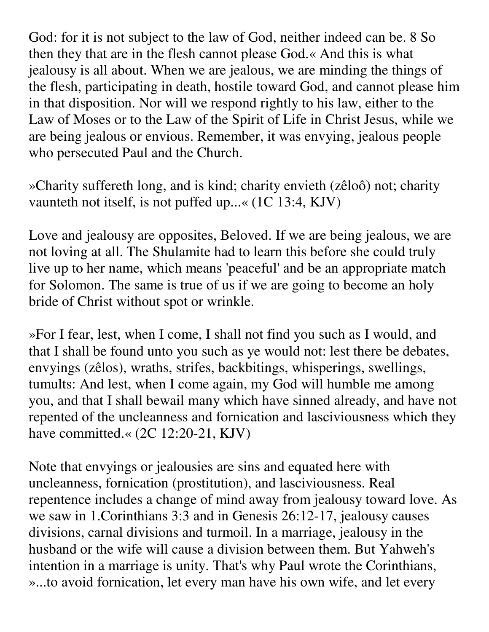God: for it is not subject to the law of God, neither indeed can be. 8 So then they that are in the flesh cannot please God.« And this is what jealousy is all about. When we are jealous, we are minding the things of the flesh, participating in death, hostile toward God, and cannot please him in that disposition. Nor will we respond rightly to his law, either to the Law of Moses or to the Law of the Spirit of Life in Christ Jesus, while we are being jealous or envious. Remember, it was envying, jealous people who persecuted Paul and the Church.

»Charity suffereth long, and is kind; charity envieth (zêloô) not; charity vaunteth not itself, is not puffed up...« (1C 13:4, KJV)

Love and jealousy are opposites, Beloved. If we are being jealous, we are not loving at all. The Shulamite had to learn this before she could truly live up to her name, which means 'peaceful' and be an appropriate match for Solomon. The same is true of us if we are going to become an holy bride of Christ without spot or wrinkle.

»For I fear, lest, when I come, I shall not find you such as I would, and that I shall be found unto you such as ye would not: lest there be debates, envyings (zêlos), wraths, strifes, backbitings, whisperings, swellings, tumults: And lest, when I come again, my God will humble me among you, and that I shall bewail many which have sinned already, and have not repented of the uncleanness and fornication and lasciviousness which they have committed.« (2C 12:20-21, KJV)

Note that envyings or jealousies are sins and equated here with uncleanness, fornication (prostitution), and lasciviousness. Real repentence includes a change of mind away from jealousy toward love. As we saw in 1.Corinthians 3:3 and in Genesis 26:12-17, jealousy causes divisions, carnal divisions and turmoil. In a marriage, jealousy in the husband or the wife will cause a division between them. But Yahweh's intention in a marriage is unity. That's why Paul wrote the Corinthians, »...to avoid fornication, let every man have his own wife, and let every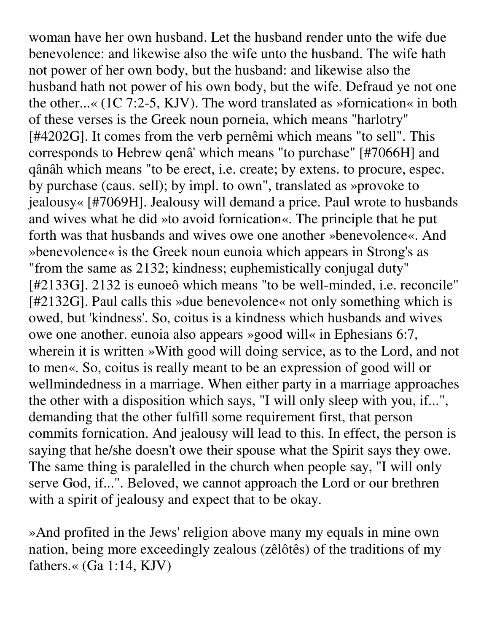woman have her own husband. Let the husband render unto the wife due benevolence: and likewise also the wife unto the husband. The wife hath not power of her own body, but the husband: and likewise also the husband hath not power of his own body, but the wife. Defraud ye not one the other...« (1C 7:2-5, KJV). The word translated as »fornication« in both of these verses is the Greek noun porneia, which means "harlotry" [#4202G]. It comes from the verb pernêmi which means "to sell". This corresponds to Hebrew qenâ' which means "to purchase" [#7066H] and qânâh which means "to be erect, i.e. create; by extens. to procure, espec. by purchase (caus. sell); by impl. to own", translated as »provoke to jealousy« [#7069H]. Jealousy will demand a price. Paul wrote to husbands and wives what he did »to avoid fornication«. The principle that he put forth was that husbands and wives owe one another »benevolence«. And »benevolence« is the Greek noun eunoia which appears in Strong's as "from the same as 2132; kindness; euphemistically conjugal duty" [#2133G]. 2132 is eunoeô which means "to be well-minded, i.e. reconcile" [#2132G]. Paul calls this »due benevolence« not only something which is owed, but 'kindness'. So, coitus is a kindness which husbands and wives owe one another. eunoia also appears »good will« in Ephesians 6:7, wherein it is written »With good will doing service, as to the Lord, and not to men«. So, coitus is really meant to be an expression of good will or wellmindedness in a marriage. When either party in a marriage approaches the other with a disposition which says, "I will only sleep with you, if...", demanding that the other fulfill some requirement first, that person commits fornication. And jealousy will lead to this. In effect, the person is saying that he/she doesn't owe their spouse what the Spirit says they owe. The same thing is paralelled in the church when people say, "I will only serve God, if...". Beloved, we cannot approach the Lord or our brethren with a spirit of jealousy and expect that to be okay.

»And profited in the Jews' religion above many my equals in mine own nation, being more exceedingly zealous (zêlôtês) of the traditions of my fathers. $\ll$  (Ga 1:14, KJV)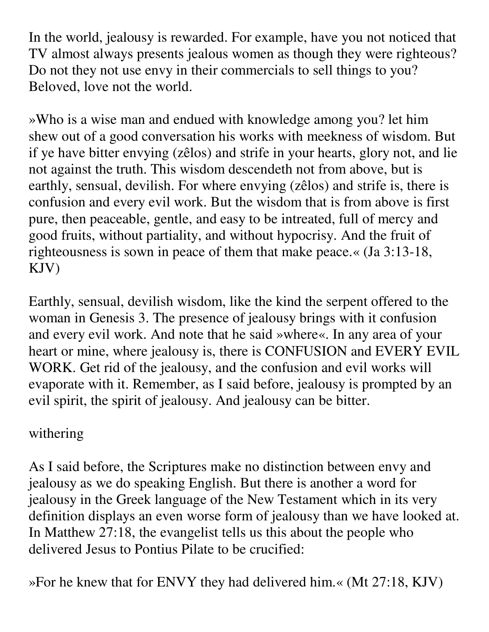In the world, jealousy is rewarded. For example, have you not noticed that TV almost always presents jealous women as though they were righteous? Do not they not use envy in their commercials to sell things to you? Beloved, love not the world.

»Who is a wise man and endued with knowledge among you? let him shew out of a good conversation his works with meekness of wisdom. But if ye have bitter envying (zêlos) and strife in your hearts, glory not, and lie not against the truth. This wisdom descendeth not from above, but is earthly, sensual, devilish. For where envying (zêlos) and strife is, there is confusion and every evil work. But the wisdom that is from above is first pure, then peaceable, gentle, and easy to be intreated, full of mercy and good fruits, without partiality, and without hypocrisy. And the fruit of righteousness is sown in peace of them that make peace.« (Ja 3:13-18, KJV)

Earthly, sensual, devilish wisdom, like the kind the serpent offered to the woman in Genesis 3. The presence of jealousy brings with it confusion and every evil work. And note that he said »where«. In any area of your heart or mine, where jealousy is, there is CONFUSION and EVERY EVIL WORK. Get rid of the jealousy, and the confusion and evil works will evaporate with it. Remember, as I said before, jealousy is prompted by an evil spirit, the spirit of jealousy. And jealousy can be bitter.

## withering

As I said before, the Scriptures make no distinction between envy and jealousy as we do speaking English. But there is another a word for jealousy in the Greek language of the New Testament which in its very definition displays an even worse form of jealousy than we have looked at. In Matthew 27:18, the evangelist tells us this about the people who delivered Jesus to Pontius Pilate to be crucified:

»For he knew that for ENVY they had delivered him.« (Mt 27:18, KJV)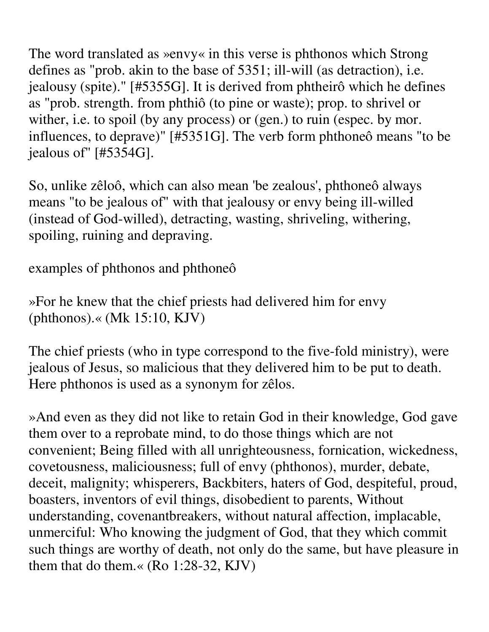The word translated as »envy« in this verse is phthonos which Strong defines as "prob. akin to the base of 5351; ill-will (as detraction), i.e. jealousy (spite)." [#5355G]. It is derived from phtheirô which he defines as "prob. strength. from phthiô (to pine or waste); prop. to shrivel or wither, i.e. to spoil (by any process) or (gen.) to ruin (espec. by mor. influences, to deprave)" [#5351G]. The verb form phthoneô means "to be jealous of" [#5354G].

So, unlike zêloô, which can also mean 'be zealous', phthoneô always means "to be jealous of" with that jealousy or envy being ill-willed (instead of God-willed), detracting, wasting, shriveling, withering, spoiling, ruining and depraving.

examples of phthonos and phthoneô

»For he knew that the chief priests had delivered him for envy (phthonos).« (Mk 15:10, KJV)

The chief priests (who in type correspond to the five-fold ministry), were jealous of Jesus, so malicious that they delivered him to be put to death. Here phthonos is used as a synonym for zêlos.

»And even as they did not like to retain God in their knowledge, God gave them over to a reprobate mind, to do those things which are not convenient; Being filled with all unrighteousness, fornication, wickedness, covetousness, maliciousness; full of envy (phthonos), murder, debate, deceit, malignity; whisperers, Backbiters, haters of God, despiteful, proud, boasters, inventors of evil things, disobedient to parents, Without understanding, covenantbreakers, without natural affection, implacable, unmerciful: Who knowing the judgment of God, that they which commit such things are worthy of death, not only do the same, but have pleasure in them that do them.« (Ro 1:28-32, KJV)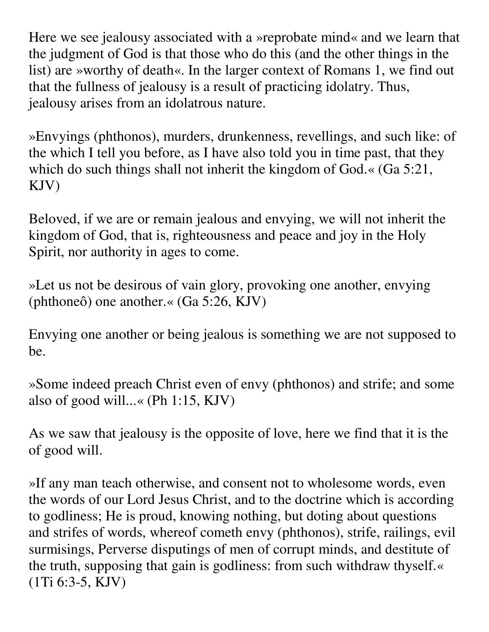Here we see jealousy associated with a »reprobate mind« and we learn that the judgment of God is that those who do this (and the other things in the list) are »worthy of death«. In the larger context of Romans 1, we find out that the fullness of jealousy is a result of practicing idolatry. Thus, jealousy arises from an idolatrous nature.

»Envyings (phthonos), murders, drunkenness, revellings, and such like: of the which I tell you before, as I have also told you in time past, that they which do such things shall not inherit the kingdom of God.« (Ga 5:21, KJV)

Beloved, if we are or remain jealous and envying, we will not inherit the kingdom of God, that is, righteousness and peace and joy in the Holy Spirit, nor authority in ages to come.

»Let us not be desirous of vain glory, provoking one another, envying (phthoneô) one another.« (Ga 5:26, KJV)

Envying one another or being jealous is something we are not supposed to be.

»Some indeed preach Christ even of envy (phthonos) and strife; and some also of good will...« (Ph 1:15, KJV)

As we saw that jealousy is the opposite of love, here we find that it is the of good will.

»If any man teach otherwise, and consent not to wholesome words, even the words of our Lord Jesus Christ, and to the doctrine which is according to godliness; He is proud, knowing nothing, but doting about questions and strifes of words, whereof cometh envy (phthonos), strife, railings, evil surmisings, Perverse disputings of men of corrupt minds, and destitute of the truth, supposing that gain is godliness: from such withdraw thyself.« (1Ti 6:3-5, KJV)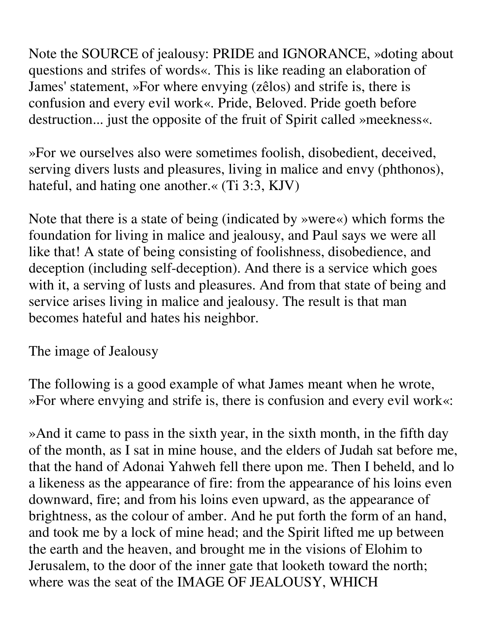Note the SOURCE of jealousy: PRIDE and IGNORANCE, »doting about questions and strifes of words«. This is like reading an elaboration of James' statement, »For where envying (zêlos) and strife is, there is confusion and every evil work«. Pride, Beloved. Pride goeth before destruction... just the opposite of the fruit of Spirit called »meekness«.

»For we ourselves also were sometimes foolish, disobedient, deceived, serving divers lusts and pleasures, living in malice and envy (phthonos), hateful, and hating one another.« (Ti 3:3, KJV)

Note that there is a state of being (indicated by »were«) which forms the foundation for living in malice and jealousy, and Paul says we were all like that! A state of being consisting of foolishness, disobedience, and deception (including self-deception). And there is a service which goes with it, a serving of lusts and pleasures. And from that state of being and service arises living in malice and jealousy. The result is that man becomes hateful and hates his neighbor.

The image of Jealousy

The following is a good example of what James meant when he wrote, »For where envying and strife is, there is confusion and every evil work«:

»And it came to pass in the sixth year, in the sixth month, in the fifth day of the month, as I sat in mine house, and the elders of Judah sat before me, that the hand of Adonai Yahweh fell there upon me. Then I beheld, and lo a likeness as the appearance of fire: from the appearance of his loins even downward, fire; and from his loins even upward, as the appearance of brightness, as the colour of amber. And he put forth the form of an hand, and took me by a lock of mine head; and the Spirit lifted me up between the earth and the heaven, and brought me in the visions of Elohim to Jerusalem, to the door of the inner gate that looketh toward the north; where was the seat of the IMAGE OF JEALOUSY, WHICH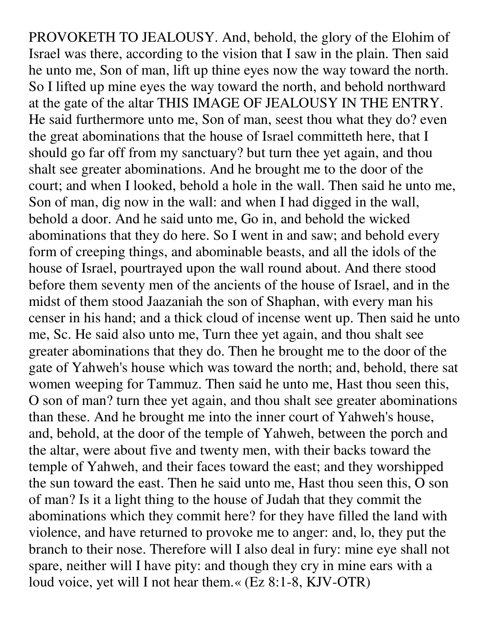PROVOKETH TO JEALOUSY. And, behold, the glory of the Elohim of Israel was there, according to the vision that I saw in the plain. Then said he unto me, Son of man, lift up thine eyes now the way toward the north. So I lifted up mine eyes the way toward the north, and behold northward at the gate of the altar THIS IMAGE OF JEALOUSY IN THE ENTRY. He said furthermore unto me, Son of man, seest thou what they do? even the great abominations that the house of Israel committeth here, that I should go far off from my sanctuary? but turn thee yet again, and thou shalt see greater abominations. And he brought me to the door of the court; and when I looked, behold a hole in the wall. Then said he unto me, Son of man, dig now in the wall: and when I had digged in the wall, behold a door. And he said unto me, Go in, and behold the wicked abominations that they do here. So I went in and saw; and behold every form of creeping things, and abominable beasts, and all the idols of the house of Israel, pourtrayed upon the wall round about. And there stood before them seventy men of the ancients of the house of Israel, and in the midst of them stood Jaazaniah the son of Shaphan, with every man his censer in his hand; and a thick cloud of incense went up. Then said he unto me, Sc. He said also unto me, Turn thee yet again, and thou shalt see greater abominations that they do. Then he brought me to the door of the gate of Yahweh's house which was toward the north; and, behold, there sat women weeping for Tammuz. Then said he unto me, Hast thou seen this, O son of man? turn thee yet again, and thou shalt see greater abominations than these. And he brought me into the inner court of Yahweh's house, and, behold, at the door of the temple of Yahweh, between the porch and the altar, were about five and twenty men, with their backs toward the temple of Yahweh, and their faces toward the east; and they worshipped the sun toward the east. Then he said unto me, Hast thou seen this, O son of man? Is it a light thing to the house of Judah that they commit the abominations which they commit here? for they have filled the land with violence, and have returned to provoke me to anger: and, lo, they put the branch to their nose. Therefore will I also deal in fury: mine eye shall not spare, neither will I have pity: and though they cry in mine ears with a loud voice, yet will I not hear them.« (Ez 8:1-8, KJV-OTR)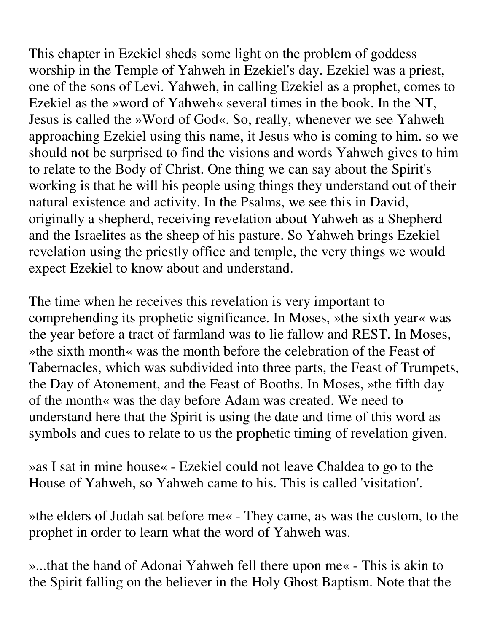This chapter in Ezekiel sheds some light on the problem of goddess worship in the Temple of Yahweh in Ezekiel's day. Ezekiel was a priest, one of the sons of Levi. Yahweh, in calling Ezekiel as a prophet, comes to Ezekiel as the »word of Yahweh« several times in the book. In the NT, Jesus is called the »Word of God«. So, really, whenever we see Yahweh approaching Ezekiel using this name, it Jesus who is coming to him. so we should not be surprised to find the visions and words Yahweh gives to him to relate to the Body of Christ. One thing we can say about the Spirit's working is that he will his people using things they understand out of their natural existence and activity. In the Psalms, we see this in David, originally a shepherd, receiving revelation about Yahweh as a Shepherd and the Israelites as the sheep of his pasture. So Yahweh brings Ezekiel revelation using the priestly office and temple, the very things we would expect Ezekiel to know about and understand.

The time when he receives this revelation is very important to comprehending its prophetic significance. In Moses, »the sixth year« was the year before a tract of farmland was to lie fallow and REST. In Moses, »the sixth month« was the month before the celebration of the Feast of Tabernacles, which was subdivided into three parts, the Feast of Trumpets, the Day of Atonement, and the Feast of Booths. In Moses, »the fifth day of the month« was the day before Adam was created. We need to understand here that the Spirit is using the date and time of this word as symbols and cues to relate to us the prophetic timing of revelation given.

»as I sat in mine house« - Ezekiel could not leave Chaldea to go to the House of Yahweh, so Yahweh came to his. This is called 'visitation'.

»the elders of Judah sat before me« - They came, as was the custom, to the prophet in order to learn what the word of Yahweh was.

»...that the hand of Adonai Yahweh fell there upon me« - This is akin to the Spirit falling on the believer in the Holy Ghost Baptism. Note that the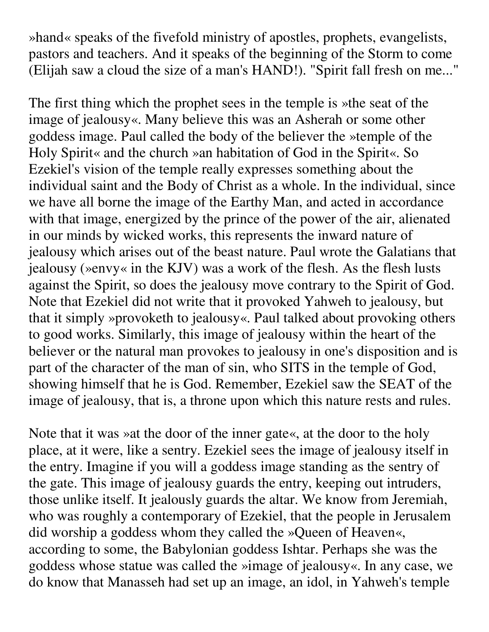»hand« speaks of the fivefold ministry of apostles, prophets, evangelists, pastors and teachers. And it speaks of the beginning of the Storm to come (Elijah saw a cloud the size of a man's HAND!). "Spirit fall fresh on me..."

The first thing which the prophet sees in the temple is »the seat of the image of jealousy«. Many believe this was an Asherah or some other goddess image. Paul called the body of the believer the »temple of the Holy Spirit« and the church »an habitation of God in the Spirit«. So Ezekiel's vision of the temple really expresses something about the individual saint and the Body of Christ as a whole. In the individual, since we have all borne the image of the Earthy Man, and acted in accordance with that image, energized by the prince of the power of the air, alienated in our minds by wicked works, this represents the inward nature of jealousy which arises out of the beast nature. Paul wrote the Galatians that jealousy (»envy« in the KJV) was a work of the flesh. As the flesh lusts against the Spirit, so does the jealousy move contrary to the Spirit of God. Note that Ezekiel did not write that it provoked Yahweh to jealousy, but that it simply »provoketh to jealousy«. Paul talked about provoking others to good works. Similarly, this image of jealousy within the heart of the believer or the natural man provokes to jealousy in one's disposition and is part of the character of the man of sin, who SITS in the temple of God, showing himself that he is God. Remember, Ezekiel saw the SEAT of the image of jealousy, that is, a throne upon which this nature rests and rules.

Note that it was »at the door of the inner gate«, at the door to the holy place, at it were, like a sentry. Ezekiel sees the image of jealousy itself in the entry. Imagine if you will a goddess image standing as the sentry of the gate. This image of jealousy guards the entry, keeping out intruders, those unlike itself. It jealously guards the altar. We know from Jeremiah, who was roughly a contemporary of Ezekiel, that the people in Jerusalem did worship a goddess whom they called the »Queen of Heaven«, according to some, the Babylonian goddess Ishtar. Perhaps she was the goddess whose statue was called the »image of jealousy«. In any case, we do know that Manasseh had set up an image, an idol, in Yahweh's temple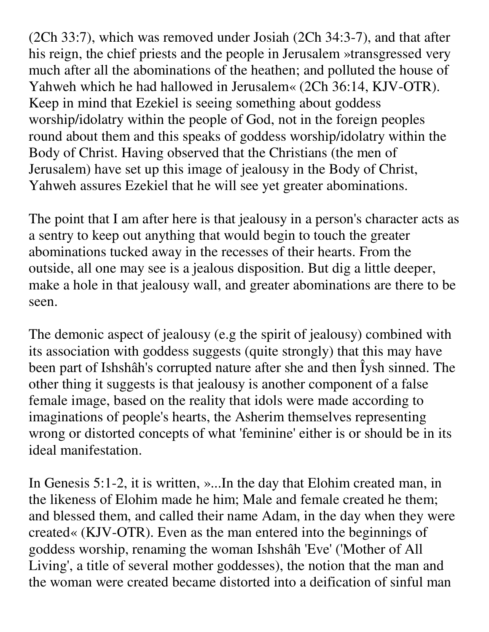(2Ch 33:7), which was removed under Josiah (2Ch 34:3-7), and that after his reign, the chief priests and the people in Jerusalem »transgressed very much after all the abominations of the heathen; and polluted the house of Yahweh which he had hallowed in Jerusalem« (2Ch 36:14, KJV-OTR). Keep in mind that Ezekiel is seeing something about goddess worship/idolatry within the people of God, not in the foreign peoples round about them and this speaks of goddess worship/idolatry within the Body of Christ. Having observed that the Christians (the men of Jerusalem) have set up this image of jealousy in the Body of Christ, Yahweh assures Ezekiel that he will see yet greater abominations.

The point that I am after here is that jealousy in a person's character acts as a sentry to keep out anything that would begin to touch the greater abominations tucked away in the recesses of their hearts. From the outside, all one may see is a jealous disposition. But dig a little deeper, make a hole in that jealousy wall, and greater abominations are there to be seen.

The demonic aspect of jealousy (e.g the spirit of jealousy) combined with its association with goddess suggests (quite strongly) that this may have been part of Ishshâh's corrupted nature after she and then Îysh sinned. The other thing it suggests is that jealousy is another component of a false female image, based on the reality that idols were made according to imaginations of people's hearts, the Asherim themselves representing wrong or distorted concepts of what 'feminine' either is or should be in its ideal manifestation.

In Genesis 5:1-2, it is written, »...In the day that Elohim created man, in the likeness of Elohim made he him; Male and female created he them; and blessed them, and called their name Adam, in the day when they were created« (KJV-OTR). Even as the man entered into the beginnings of goddess worship, renaming the woman Ishshâh 'Eve' ('Mother of All Living', a title of several mother goddesses), the notion that the man and the woman were created became distorted into a deification of sinful man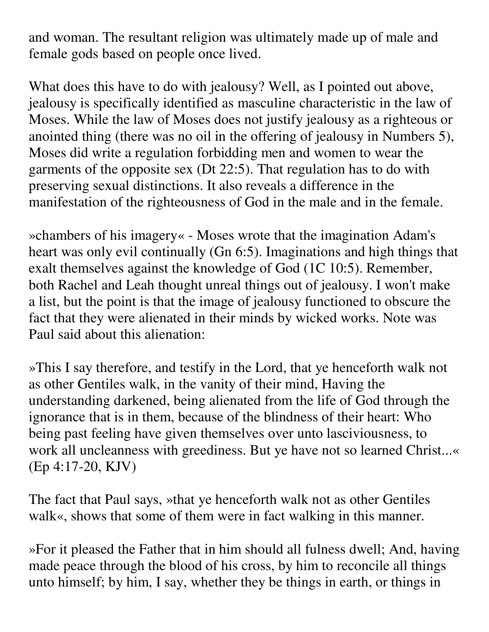and woman. The resultant religion was ultimately made up of male and female gods based on people once lived.

What does this have to do with jealousy? Well, as I pointed out above, jealousy is specifically identified as masculine characteristic in the law of Moses. While the law of Moses does not justify jealousy as a righteous or anointed thing (there was no oil in the offering of jealousy in Numbers 5), Moses did write a regulation forbidding men and women to wear the garments of the opposite sex (Dt 22:5). That regulation has to do with preserving sexual distinctions. It also reveals a difference in the manifestation of the righteousness of God in the male and in the female.

»chambers of his imagery« - Moses wrote that the imagination Adam's heart was only evil continually (Gn 6:5). Imaginations and high things that exalt themselves against the knowledge of God (1C 10:5). Remember, both Rachel and Leah thought unreal things out of jealousy. I won't make a list, but the point is that the image of jealousy functioned to obscure the fact that they were alienated in their minds by wicked works. Note was Paul said about this alienation:

»This I say therefore, and testify in the Lord, that ye henceforth walk not as other Gentiles walk, in the vanity of their mind, Having the understanding darkened, being alienated from the life of God through the ignorance that is in them, because of the blindness of their heart: Who being past feeling have given themselves over unto lasciviousness, to work all uncleanness with greediness. But ye have not so learned Christ...« (Ep 4:17-20, KJV)

The fact that Paul says, »that ye henceforth walk not as other Gentiles walk«, shows that some of them were in fact walking in this manner.

»For it pleased the Father that in him should all fulness dwell; And, having made peace through the blood of his cross, by him to reconcile all things unto himself; by him, I say, whether they be things in earth, or things in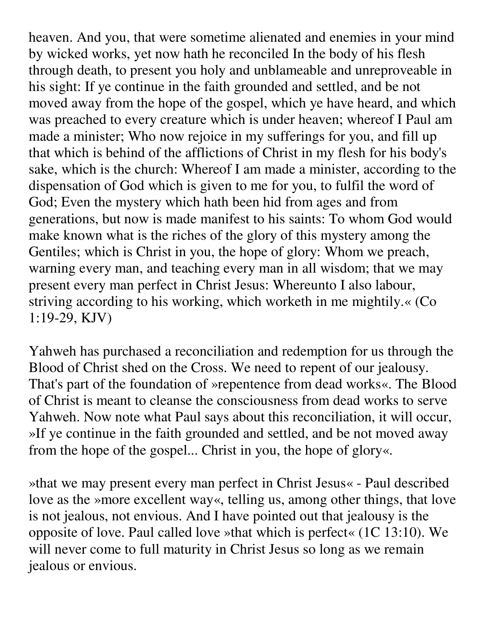heaven. And you, that were sometime alienated and enemies in your mind by wicked works, yet now hath he reconciled In the body of his flesh through death, to present you holy and unblameable and unreproveable in his sight: If ye continue in the faith grounded and settled, and be not moved away from the hope of the gospel, which ye have heard, and which was preached to every creature which is under heaven; whereof I Paul am made a minister; Who now rejoice in my sufferings for you, and fill up that which is behind of the afflictions of Christ in my flesh for his body's sake, which is the church: Whereof I am made a minister, according to the dispensation of God which is given to me for you, to fulfil the word of God; Even the mystery which hath been hid from ages and from generations, but now is made manifest to his saints: To whom God would make known what is the riches of the glory of this mystery among the Gentiles; which is Christ in you, the hope of glory: Whom we preach, warning every man, and teaching every man in all wisdom; that we may present every man perfect in Christ Jesus: Whereunto I also labour, striving according to his working, which worketh in me mightily.« (Co 1:19-29, KJV)

Yahweh has purchased a reconciliation and redemption for us through the Blood of Christ shed on the Cross. We need to repent of our jealousy. That's part of the foundation of »repentence from dead works«. The Blood of Christ is meant to cleanse the consciousness from dead works to serve Yahweh. Now note what Paul says about this reconciliation, it will occur, »If ye continue in the faith grounded and settled, and be not moved away from the hope of the gospel... Christ in you, the hope of glory«.

»that we may present every man perfect in Christ Jesus« - Paul described love as the »more excellent way«, telling us, among other things, that love is not jealous, not envious. And I have pointed out that jealousy is the opposite of love. Paul called love »that which is perfect« (1C 13:10). We will never come to full maturity in Christ Jesus so long as we remain jealous or envious.